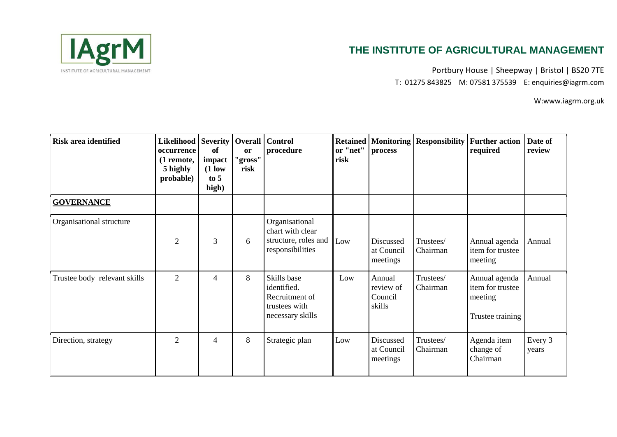

Portbury House | Sheepway | Bristol | BS20 7TE T: 01275 843825 M: 07581 375539 E: enquiries@iagrm.com

| <b>Risk area identified</b>  | Likelihood   Severity   Overall   Control<br>occurrence<br>(1 remote,<br>5 highly<br>probable) | of<br>impact<br>$(1)$ low<br>to $5$<br>high) | or<br>"gross"<br>risk | procedure                                                                         | <b>Retained</b><br>or "net"<br>risk | process                                  | Monitoring   Responsibility | <b>Further action</b><br>required                                | Date of<br>review |
|------------------------------|------------------------------------------------------------------------------------------------|----------------------------------------------|-----------------------|-----------------------------------------------------------------------------------|-------------------------------------|------------------------------------------|-----------------------------|------------------------------------------------------------------|-------------------|
| <b>GOVERNANCE</b>            |                                                                                                |                                              |                       |                                                                                   |                                     |                                          |                             |                                                                  |                   |
| Organisational structure     | $\overline{2}$                                                                                 | 3                                            | 6                     | Organisational<br>chart with clear<br>structure, roles and<br>responsibilities    | Low                                 | Discussed<br>at Council<br>meetings      | Trustees/<br>Chairman       | Annual agenda<br>item for trustee<br>meeting                     | Annual            |
| Trustee body relevant skills | $\overline{2}$                                                                                 | 4                                            | 8                     | Skills base<br>identified.<br>Recruitment of<br>trustees with<br>necessary skills | Low                                 | Annual<br>review of<br>Council<br>skills | Trustees/<br>Chairman       | Annual agenda<br>item for trustee<br>meeting<br>Trustee training | Annual            |
| Direction, strategy          | $\overline{2}$                                                                                 | 4                                            | 8                     | Strategic plan                                                                    | Low                                 | Discussed<br>at Council<br>meetings      | Trustees/<br>Chairman       | Agenda item<br>change of<br>Chairman                             | Every 3<br>years  |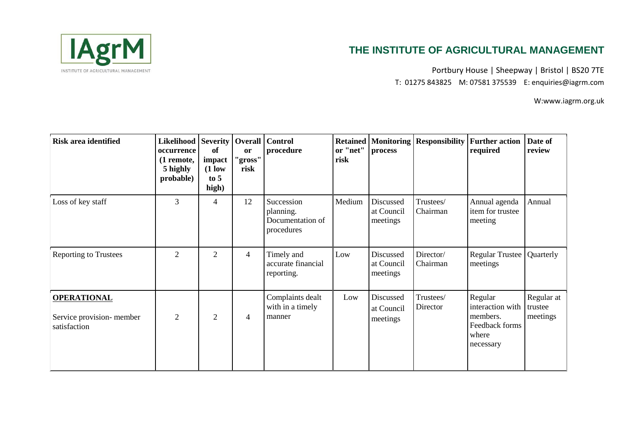

Portbury House | Sheepway | Bristol | BS20 7TE T: 01275 843825 M: 07581 375539 E: enquiries@iagrm.com

| <b>Risk area identified</b>                                    | Likelihood   Severity   Overall   Control<br>occurrence<br>(1 remote,<br>5 highly<br>probable) | of<br>impact<br>$(1)$ low<br>to 5<br>high) | <b>or</b><br>"gross"<br>risk | procedure                                                 | or "net"<br>risk | process                             | <b>Retained   Monitoring   Responsibility  </b> | <b>Further action</b><br>required                                               | Date of<br>review                 |
|----------------------------------------------------------------|------------------------------------------------------------------------------------------------|--------------------------------------------|------------------------------|-----------------------------------------------------------|------------------|-------------------------------------|-------------------------------------------------|---------------------------------------------------------------------------------|-----------------------------------|
| Loss of key staff                                              | 3                                                                                              | 4                                          | 12                           | Succession<br>planning.<br>Documentation of<br>procedures | Medium           | Discussed<br>at Council<br>meetings | Trustees/<br>Chairman                           | Annual agenda<br>item for trustee<br>meeting                                    | Annual                            |
| <b>Reporting to Trustees</b>                                   | $\overline{2}$                                                                                 | $\overline{2}$                             | 4                            | Timely and<br>accurate financial<br>reporting.            | Low              | Discussed<br>at Council<br>meetings | Director/<br>Chairman                           | <b>Regular Trustee</b><br>meetings                                              | Quarterly                         |
| <b>OPERATIONAL</b><br>Service provision-member<br>satisfaction | $\overline{2}$                                                                                 | $\overline{2}$                             | $\overline{4}$               | Complaints dealt<br>with in a timely<br>manner            | Low              | Discussed<br>at Council<br>meetings | Trustees/<br>Director                           | Regular<br>interaction with<br>members.<br>Feedback forms<br>where<br>necessary | Regular at<br>trustee<br>meetings |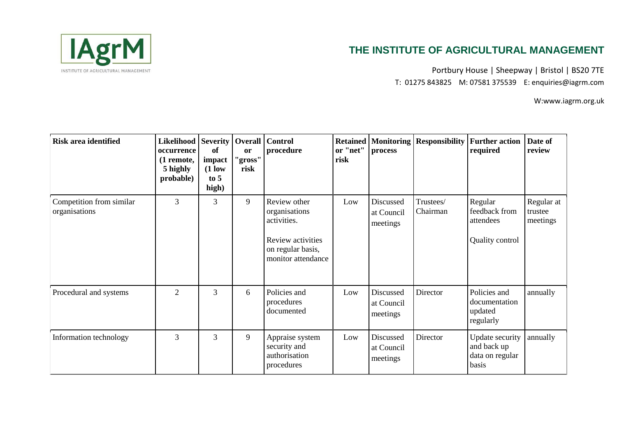

Portbury House | Sheepway | Bristol | BS20 7TE T: 01275 843825 M: 07581 375539 E: enquiries@iagrm.com

| <b>Risk area identified</b>               | Likelihood   Severity   Overall   Control<br>occurrence<br>(1 remote,<br>5 highly<br>probable) | -of<br>impact<br>$(1)$ low<br>to 5<br>high) | <sub>or</sub><br>"gross"<br>risk | procedure                                                                                                    | or "net"<br>risk | process                             | <b>Retained   Monitoring   Responsibility</b> | <b>Further action</b><br>required                                 | Date of<br>review                 |
|-------------------------------------------|------------------------------------------------------------------------------------------------|---------------------------------------------|----------------------------------|--------------------------------------------------------------------------------------------------------------|------------------|-------------------------------------|-----------------------------------------------|-------------------------------------------------------------------|-----------------------------------|
| Competition from similar<br>organisations | 3                                                                                              | 3                                           | 9                                | Review other<br>organisations<br>activities.<br>Review activities<br>on regular basis,<br>monitor attendance | Low              | Discussed<br>at Council<br>meetings | Trustees/<br>Chairman                         | Regular<br>feedback from<br>attendees<br>Quality control          | Regular at<br>trustee<br>meetings |
| Procedural and systems                    | $\overline{2}$                                                                                 | 3                                           | 6                                | Policies and<br>procedures<br>documented                                                                     | Low              | Discussed<br>at Council<br>meetings | Director                                      | Policies and<br>documentation<br>updated<br>regularly             | annually                          |
| Information technology                    | 3                                                                                              | 3                                           | 9                                | Appraise system<br>security and<br>authorisation<br>procedures                                               | Low              | Discussed<br>at Council<br>meetings | Director                                      | <b>Update</b> security<br>and back up<br>data on regular<br>basis | annually                          |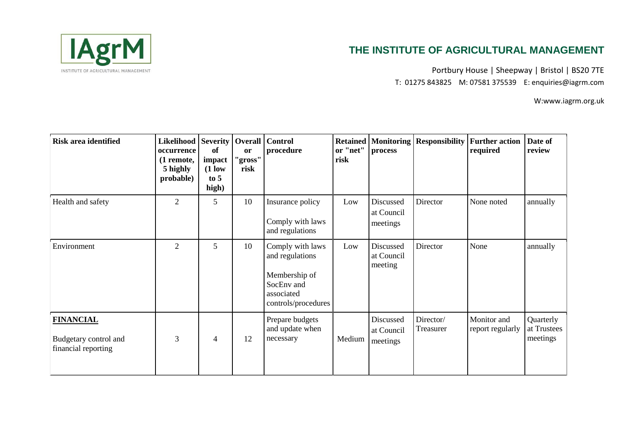

Portbury House | Sheepway | Bristol | BS20 7TE T: 01275 843825 M: 07581 375539 E: enquiries@iagrm.com

| <b>Risk area identified</b>                                      | Likelihood   Severity   Overall   Control<br>occurrence<br>(1 remote,<br>5 highly<br>probable) | of<br>impact<br>$(1)$ low<br>to 5<br>high) | <b>or</b><br>"gross"<br>risk | procedure                                                                                               | <b>Retained</b><br>or "net"<br>risk | process                             | <b>Monitoring   Responsibility</b> | <b>Further action</b><br>required | Date of<br>review                    |
|------------------------------------------------------------------|------------------------------------------------------------------------------------------------|--------------------------------------------|------------------------------|---------------------------------------------------------------------------------------------------------|-------------------------------------|-------------------------------------|------------------------------------|-----------------------------------|--------------------------------------|
| Health and safety                                                | $\mathfrak{2}$                                                                                 | 5                                          | 10                           | Insurance policy<br>Comply with laws<br>and regulations                                                 | Low                                 | Discussed<br>at Council<br>meetings | Director                           | None noted                        | annually                             |
| Environment                                                      | $\overline{2}$                                                                                 | 5                                          | 10                           | Comply with laws<br>and regulations<br>Membership of<br>SocEnv and<br>associated<br>controls/procedures | Low                                 | Discussed<br>at Council<br>meeting  | Director                           | None                              | annually                             |
| <b>FINANCIAL</b><br>Budgetary control and<br>financial reporting | 3                                                                                              | $\overline{4}$                             | 12                           | Prepare budgets<br>and update when<br>necessary                                                         | Medium                              | Discussed<br>at Council<br>meetings | Director/<br>Treasurer             | Monitor and<br>report regularly   | Quarterly<br>at Trustees<br>meetings |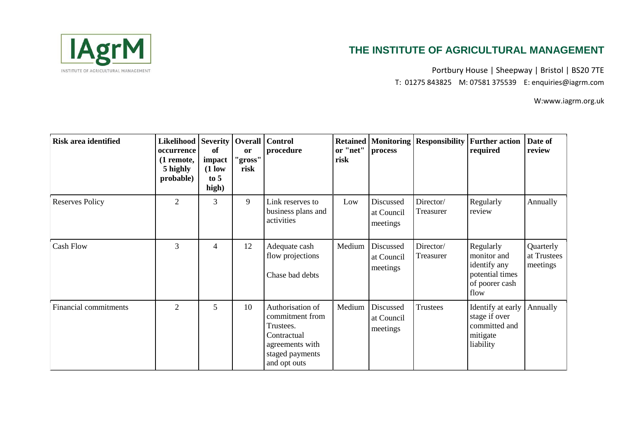

Portbury House | Sheepway | Bristol | BS20 7TE T: 01275 843825 M: 07581 375539 E: enquiries@iagrm.com

| <b>Risk area identified</b>  | Likelihood   Severity   Overall   Control<br>occurrence<br>(1 remote,<br>5 highly<br>probable) | of<br>impact<br>$(1)$ low<br>to 5<br>high) | <b>or</b><br>"gross"<br>risk | procedure                                                                                                             | or "net"<br>risk | <b>Retained Monitoring</b><br>process | <b>Responsibility</b>  | <b>Further action</b><br>required                                                     | Date of<br>review                    |
|------------------------------|------------------------------------------------------------------------------------------------|--------------------------------------------|------------------------------|-----------------------------------------------------------------------------------------------------------------------|------------------|---------------------------------------|------------------------|---------------------------------------------------------------------------------------|--------------------------------------|
| <b>Reserves Policy</b>       | $\overline{2}$                                                                                 | 3                                          | 9                            | Link reserves to<br>business plans and<br>activities                                                                  | Low              | Discussed<br>at Council<br>meetings   | Director/<br>Treasurer | Regularly<br>review                                                                   | Annually                             |
| <b>Cash Flow</b>             | 3                                                                                              | 4                                          | 12                           | Adequate cash<br>flow projections<br>Chase bad debts                                                                  | Medium           | Discussed<br>at Council<br>meetings   | Director/<br>Treasurer | Regularly<br>monitor and<br>identify any<br>potential times<br>of poorer cash<br>flow | Quarterly<br>at Trustees<br>meetings |
| <b>Financial commitments</b> | $\overline{2}$                                                                                 | 5                                          | 10                           | Authorisation of<br>commitment from<br>Trustees.<br>Contractual<br>agreements with<br>staged payments<br>and opt outs | Medium           | Discussed<br>at Council<br>meetings   | <b>Trustees</b>        | Identify at early<br>stage if over<br>committed and<br>mitigate<br>liability          | Annually                             |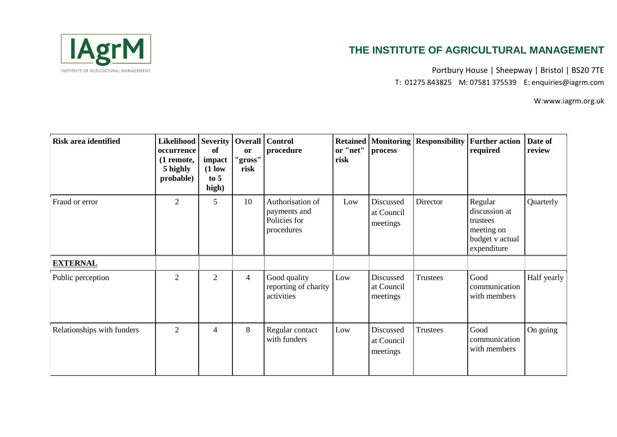

Portbury House | Sheepway | Bristol | BS20 7TE T: 01275 843825 M: 07581 375539 E: enquiries@iagrm.com

| <b>Risk area identified</b> | Likelihood   Severity   Overall   Control<br>occurrence<br>(1 remote,<br>5 highly<br>probable) | of<br>impact<br>$(1$ low<br>to 5<br>high) | <b>or</b><br>"gross"<br>risk | procedure                                                      | <b>Retained</b><br>or "net"<br>risk | process                             | Monitoring   Responsibility | <b>Further action</b><br>required                                                    | Date of<br>review |
|-----------------------------|------------------------------------------------------------------------------------------------|-------------------------------------------|------------------------------|----------------------------------------------------------------|-------------------------------------|-------------------------------------|-----------------------------|--------------------------------------------------------------------------------------|-------------------|
| Fraud or error              | $\overline{2}$                                                                                 | 5                                         | 10                           | Authorisation of<br>payments and<br>Policies for<br>procedures | Low                                 | Discussed<br>at Council<br>meetings | Director                    | Regular<br>discussion at<br>trustees<br>meeting on<br>budget v actual<br>expenditure | Quarterly         |
| <b>EXTERNAL</b>             |                                                                                                |                                           |                              |                                                                |                                     |                                     |                             |                                                                                      |                   |
| Public perception           | $\overline{2}$                                                                                 | $\overline{2}$                            | $\overline{4}$               | Good quality<br>reporting of charity<br>activities             | Low                                 | Discussed<br>at Council<br>meetings | Trustees                    | Good<br>communication<br>with members                                                | Half yearly       |
| Relationships with funders  | $\overline{2}$                                                                                 | 4                                         | 8                            | Regular contact<br>with funders                                | Low                                 | Discussed<br>at Council<br>meetings | Trustees                    | Good<br>communication<br>with members                                                | On going          |